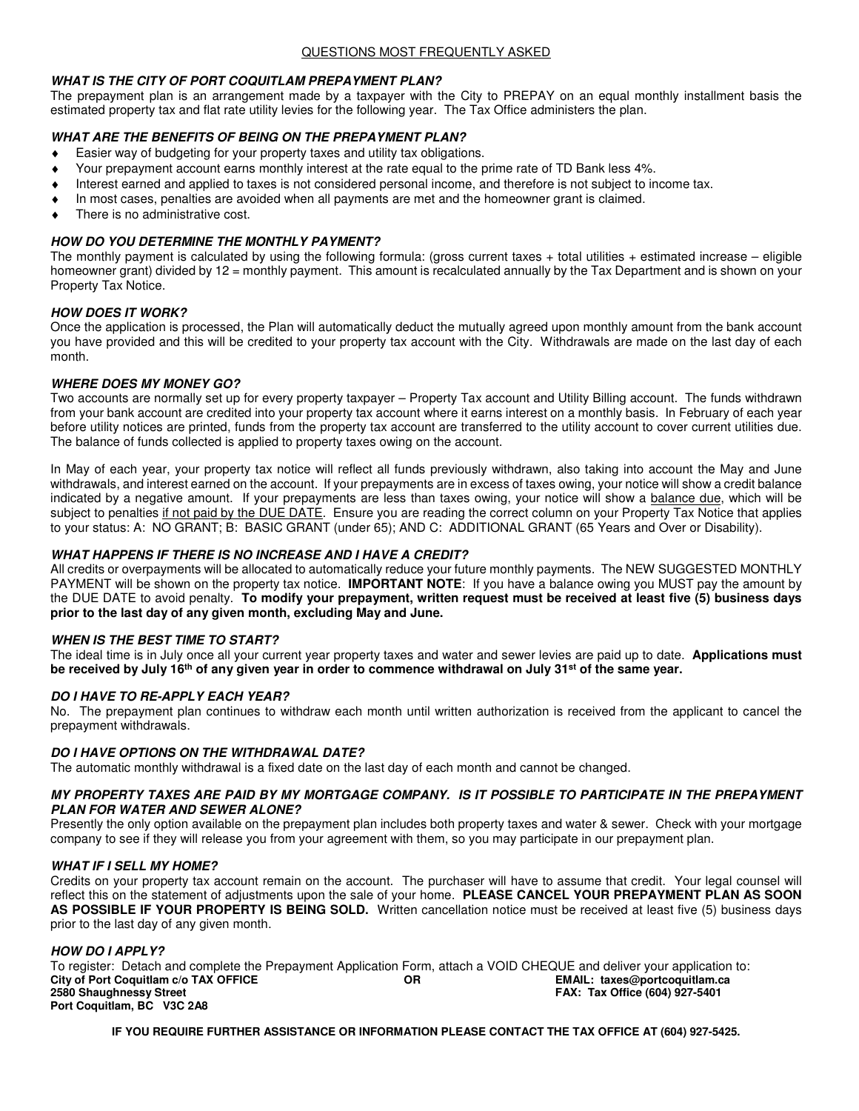### **WHAT IS THE CITY OF PORT COQUITLAM PREPAYMENT PLAN?**

The prepayment plan is an arrangement made by a taxpayer with the City to PREPAY on an equal monthly installment basis the estimated property tax and flat rate utility levies for the following year. The Tax Office administers the plan.

### **WHAT ARE THE BENEFITS OF BEING ON THE PREPAYMENT PLAN?**

- Easier way of budgeting for your property taxes and utility tax obligations.
- Your prepayment account earns monthly interest at the rate equal to the prime rate of TD Bank less 4%.
- Interest earned and applied to taxes is not considered personal income, and therefore is not subject to income tax.
- In most cases, penalties are avoided when all payments are met and the homeowner grant is claimed.
- There is no administrative cost.

### **HOW DO YOU DETERMINE THE MONTHLY PAYMENT?**

The monthly payment is calculated by using the following formula: (gross current taxes  $+$  total utilities  $+$  estimated increase – eligible homeowner grant) divided by 12 = monthly payment. This amount is recalculated annually by the Tax Department and is shown on your Property Tax Notice.

### **HOW DOES IT WORK?**

Once the application is processed, the Plan will automatically deduct the mutually agreed upon monthly amount from the bank account you have provided and this will be credited to your property tax account with the City. Withdrawals are made on the last day of each month.

### **WHERE DOES MY MONEY GO?**

Two accounts are normally set up for every property taxpayer – Property Tax account and Utility Billing account. The funds withdrawn from your bank account are credited into your property tax account where it earns interest on a monthly basis. In February of each year before utility notices are printed, funds from the property tax account are transferred to the utility account to cover current utilities due. The balance of funds collected is applied to property taxes owing on the account.

In May of each year, your property tax notice will reflect all funds previously withdrawn, also taking into account the May and June withdrawals, and interest earned on the account. If your prepayments are in excess of taxes owing, your notice will show a credit balance indicated by a negative amount. If your prepayments are less than taxes owing, your notice will show a balance due, which will be subject to penalties if not paid by the DUE DATE. Ensure you are reading the correct column on your Property Tax Notice that applies to your status: A: NO GRANT; B: BASIC GRANT (under 65); AND C: ADDITIONAL GRANT (65 Years and Over or Disability).

#### **WHAT HAPPENS IF THERE IS NO INCREASE AND I HAVE A CREDIT?**

All credits or overpayments will be allocated to automatically reduce your future monthly payments. The NEW SUGGESTED MONTHLY PAYMENT will be shown on the property tax notice. **IMPORTANT NOTE**: If you have a balance owing you MUST pay the amount by the DUE DATE to avoid penalty. **To modify your prepayment, written request must be received at least five (5) business days prior to the last day of any given month, excluding May and June.** 

### **WHEN IS THE BEST TIME TO START?**

The ideal time is in July once all your current year property taxes and water and sewer levies are paid up to date. **Applications must be received by July 16th of any given year in order to commence withdrawal on July 31st of the same year.** 

#### **DO I HAVE TO RE-APPLY EACH YEAR?**

No. The prepayment plan continues to withdraw each month until written authorization is received from the applicant to cancel the prepayment withdrawals.

#### **DO I HAVE OPTIONS ON THE WITHDRAWAL DATE?**

The automatic monthly withdrawal is a fixed date on the last day of each month and cannot be changed.

### **MY PROPERTY TAXES ARE PAID BY MY MORTGAGE COMPANY. IS IT POSSIBLE TO PARTICIPATE IN THE PREPAYMENT PLAN FOR WATER AND SEWER ALONE?**

Presently the only option available on the prepayment plan includes both property taxes and water & sewer. Check with your mortgage company to see if they will release you from your agreement with them, so you may participate in our prepayment plan.

#### **WHAT IF I SELL MY HOME?**

Credits on your property tax account remain on the account. The purchaser will have to assume that credit. Your legal counsel will reflect this on the statement of adjustments upon the sale of your home. **PLEASE CANCEL YOUR PREPAYMENT PLAN AS SOON AS POSSIBLE IF YOUR PROPERTY IS BEING SOLD.** Written cancellation notice must be received at least five (5) business days prior to the last day of any given month.

#### **HOW DO I APPLY?**

To register: Detach and complete the Prepayment Application Form, attach a VOID CHEQUE and deliver your application to:<br>City of Port Coquitlam c/o TAX OFFICE<br>OR CHECTE DREE EMAIL: taxes@portcoquitlam.ca **City of Port Coquitlam c/o TAX OFFICE 2580 Shaughnessy Street 2580 Shaughnessy Street FAX: Tax Office (604) 927-5401 Port Coquitlam, BC V3C 2A8** 

**IF YOU REQUIRE FURTHER ASSISTANCE OR INFORMATION PLEASE CONTACT THE TAX OFFICE AT (604) 927-5425.**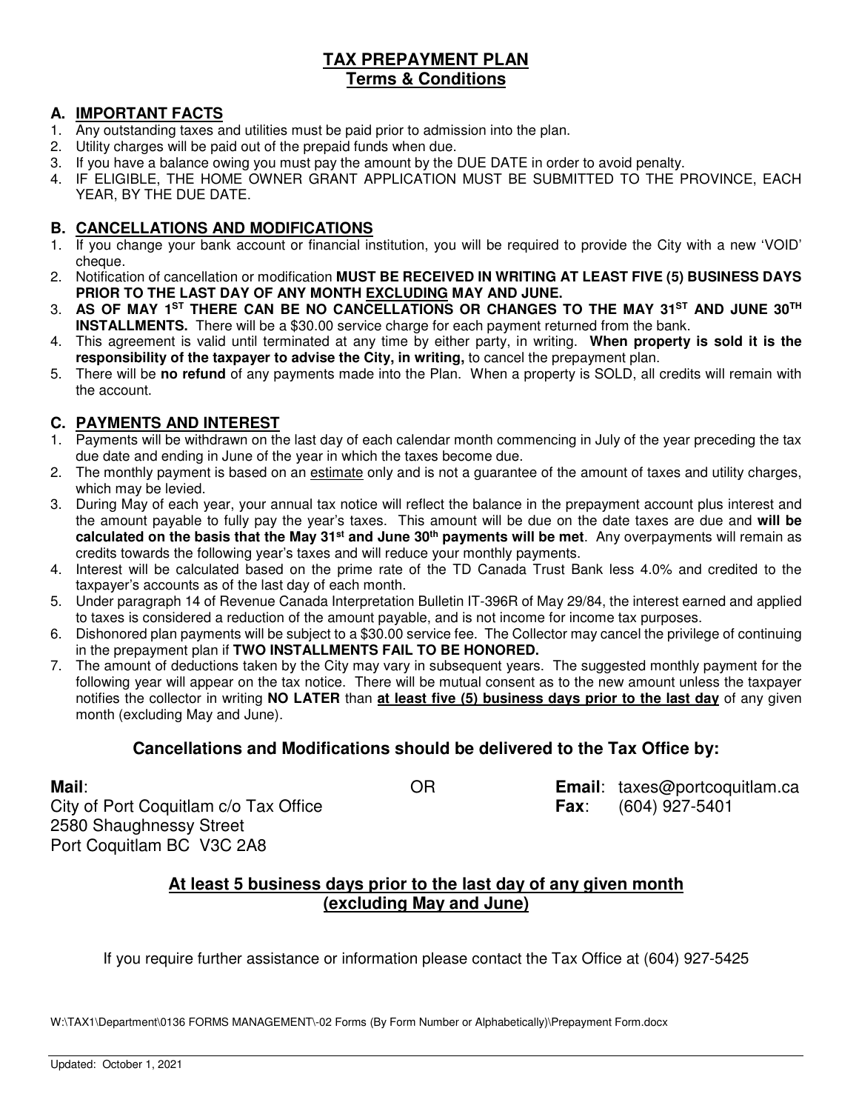# **TAX PREPAYMENT PLAN Terms & Conditions**

# **A. IMPORTANT FACTS**

- 1. Any outstanding taxes and utilities must be paid prior to admission into the plan.
- 2. Utility charges will be paid out of the prepaid funds when due.
- 3. If you have a balance owing you must pay the amount by the DUE DATE in order to avoid penalty.
- 4. IF ELIGIBLE, THE HOME OWNER GRANT APPLICATION MUST BE SUBMITTED TO THE PROVINCE, EACH YEAR, BY THE DUE DATE.

# **B. CANCELLATIONS AND MODIFICATIONS**

- 1. If you change your bank account or financial institution, you will be required to provide the City with a new 'VOID' cheque.
- 2. Notification of cancellation or modification **MUST BE RECEIVED IN WRITING AT LEAST FIVE (5) BUSINESS DAYS PRIOR TO THE LAST DAY OF ANY MONTH EXCLUDING MAY AND JUNE.**
- 3. **AS OF MAY 1ST THERE CAN BE NO CANCELLATIONS OR CHANGES TO THE MAY 31ST AND JUNE 30TH INSTALLMENTS.** There will be a \$30.00 service charge for each payment returned from the bank.
- 4. This agreement is valid until terminated at any time by either party, in writing. **When property is sold it is the responsibility of the taxpayer to advise the City, in writing,** to cancel the prepayment plan.
- 5. There will be **no refund** of any payments made into the Plan. When a property is SOLD, all credits will remain with the account.

# **C. PAYMENTS AND INTEREST**

- 1. Payments will be withdrawn on the last day of each calendar month commencing in July of the year preceding the tax due date and ending in June of the year in which the taxes become due.
- 2. The monthly payment is based on an estimate only and is not a guarantee of the amount of taxes and utility charges, which may be levied.
- 3. During May of each year, your annual tax notice will reflect the balance in the prepayment account plus interest and the amount payable to fully pay the year's taxes. This amount will be due on the date taxes are due and **will be calculated on the basis that the May 31st and June 30th payments will be met**. Any overpayments will remain as credits towards the following year's taxes and will reduce your monthly payments.
- 4. Interest will be calculated based on the prime rate of the TD Canada Trust Bank less 4.0% and credited to the taxpayer's accounts as of the last day of each month.
- 5. Under paragraph 14 of Revenue Canada Interpretation Bulletin IT-396R of May 29/84, the interest earned and applied to taxes is considered a reduction of the amount payable, and is not income for income tax purposes.
- 6. Dishonored plan payments will be subject to a \$30.00 service fee. The Collector may cancel the privilege of continuing in the prepayment plan if **TWO INSTALLMENTS FAIL TO BE HONORED.**
- 7. The amount of deductions taken by the City may vary in subsequent years. The suggested monthly payment for the following year will appear on the tax notice. There will be mutual consent as to the new amount unless the taxpayer notifies the collector in writing **NO LATER** than **at least five (5) business days prior to the last day** of any given month (excluding May and June).

# **Cancellations and Modifications should be delivered to the Tax Office by:**

City of Port Coquitlam c/o Tax Office **Fax**: (604) 927-5401 2580 Shaughnessy Street Port Coquitlam BC V3C 2A8

**Mail**: OR **Email**: taxes@portcoquitlam.ca

# **At least 5 business days prior to the last day of any given month (excluding May and June)**

If you require further assistance or information please contact the Tax Office at (604) 927-5425

W:\TAX1\Department\0136 FORMS MANAGEMENT\-02 Forms (By Form Number or Alphabetically)\Prepayment Form.docx